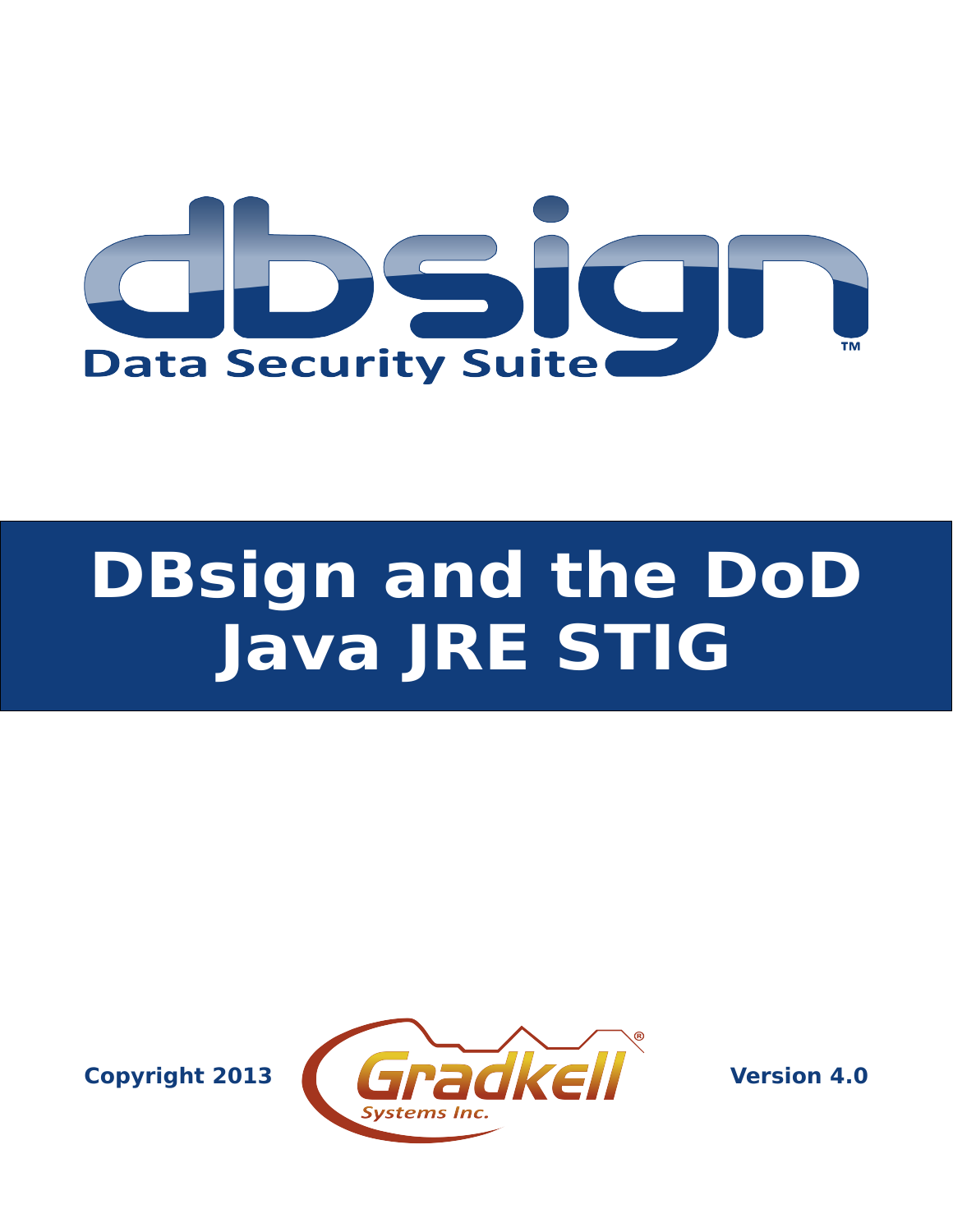

# **DBsign and the DoD Java JRE STIG**

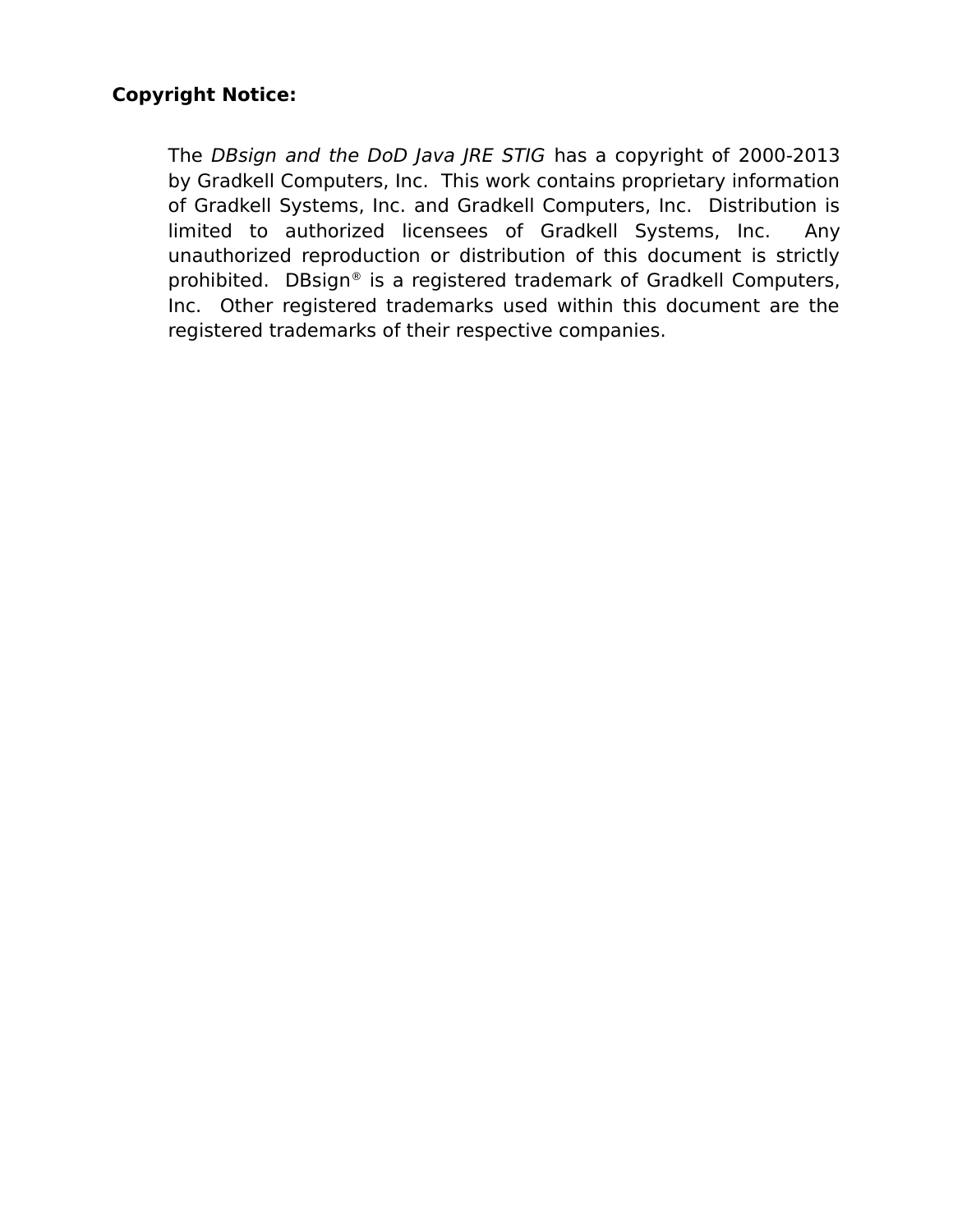#### **Copyright Notice:**

The DBsign and the DoD Java JRE STIG has a copyright of 2000-2013 by Gradkell Computers, Inc. This work contains proprietary information of Gradkell Systems, Inc. and Gradkell Computers, Inc. Distribution is limited to authorized licensees of Gradkell Systems, Inc. Any unauthorized reproduction or distribution of this document is strictly prohibited. DBsign® is a registered trademark of Gradkell Computers, Inc. Other registered trademarks used within this document are the registered trademarks of their respective companies.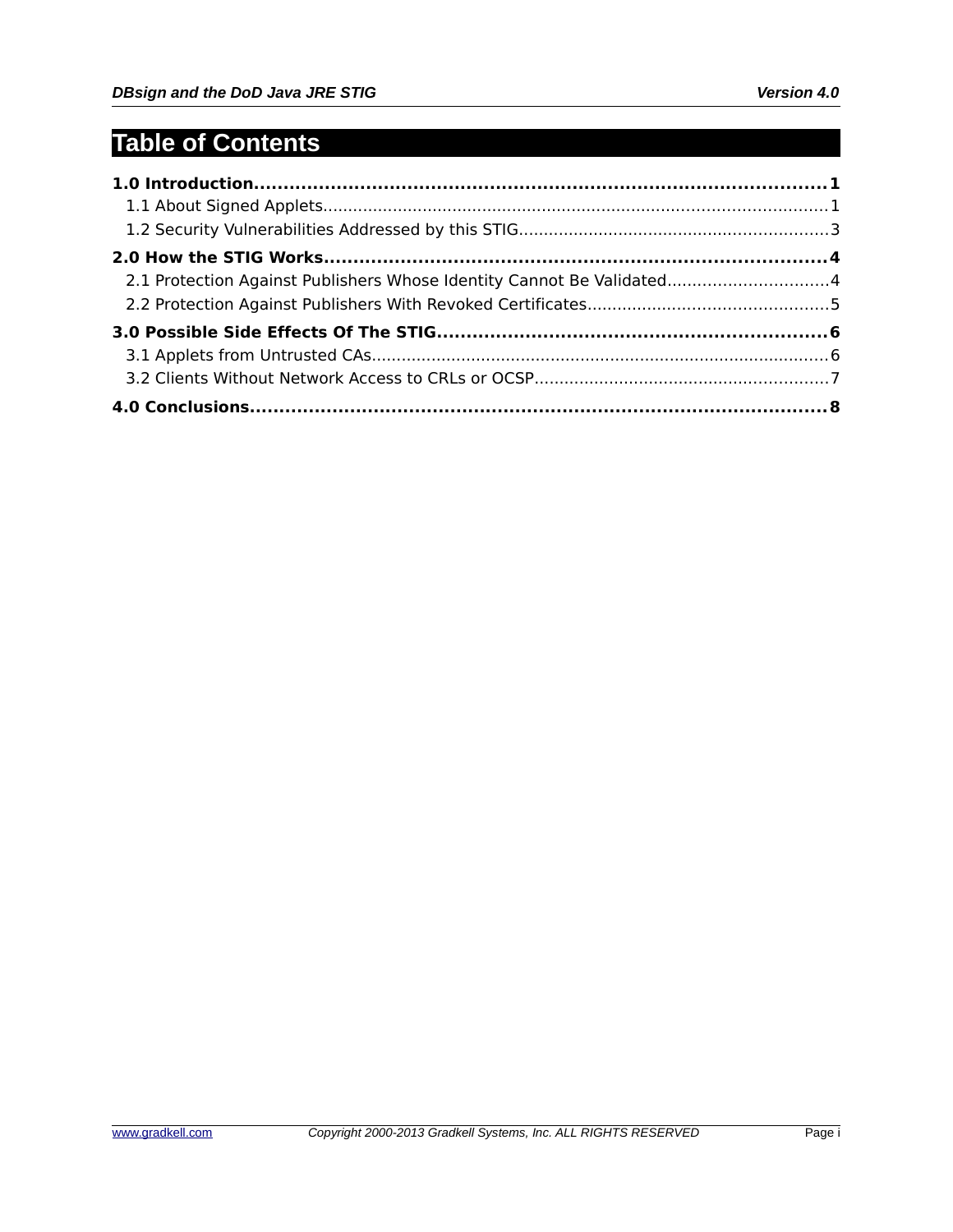# **Table of Contents**

| 2.1 Protection Against Publishers Whose Identity Cannot Be Validated4 |  |
|-----------------------------------------------------------------------|--|
|                                                                       |  |
|                                                                       |  |
|                                                                       |  |
|                                                                       |  |
|                                                                       |  |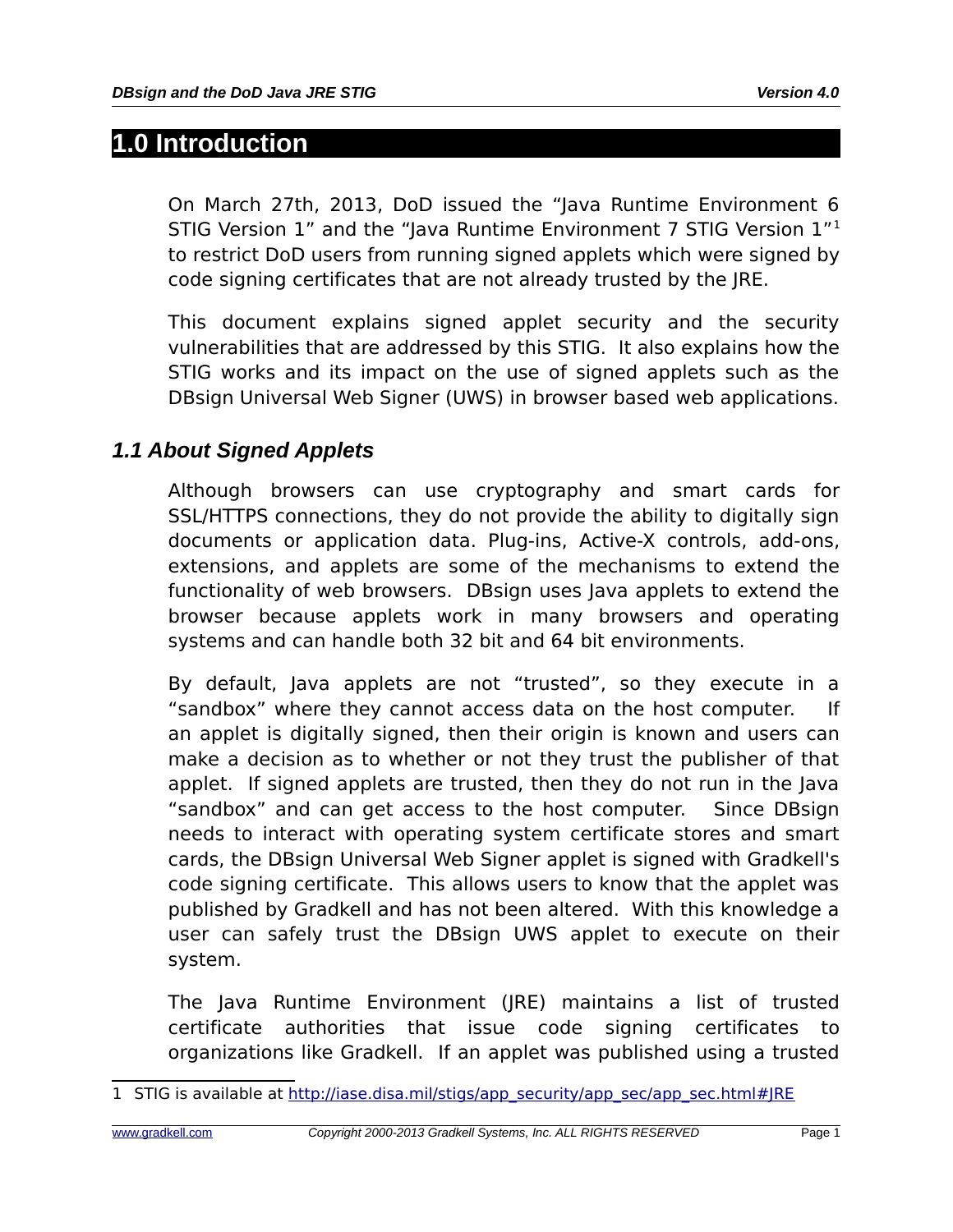## **1.0 Introduction**

On March 27th, 2013, DoD issued the "Java Runtime Environment 6 STIG Version 1" and the "Java Runtime Environment 7 STIG Version 1"[1](#page-3-0) to restrict DoD users from running signed applets which were signed by code signing certificates that are not already trusted by the JRE.

This document explains signed applet security and the security vulnerabilities that are addressed by this STIG. It also explains how the STIG works and its impact on the use of signed applets such as the DBsign Universal Web Signer (UWS) in browser based web applications.

#### *1.1 About Signed Applets*

Although browsers can use cryptography and smart cards for SSL/HTTPS connections, they do not provide the ability to digitally sign documents or application data. Plug-ins, Active-X controls, add-ons, extensions, and applets are some of the mechanisms to extend the functionality of web browsers. DBsign uses Java applets to extend the browser because applets work in many browsers and operating systems and can handle both 32 bit and 64 bit environments.

By default, Java applets are not "trusted", so they execute in a "sandbox" where they cannot access data on the host computer. If an applet is digitally signed, then their origin is known and users can make a decision as to whether or not they trust the publisher of that applet. If signed applets are trusted, then they do not run in the Java "sandbox" and can get access to the host computer. Since DBsign needs to interact with operating system certificate stores and smart cards, the DBsign Universal Web Signer applet is signed with Gradkell's code signing certificate. This allows users to know that the applet was published by Gradkell and has not been altered. With this knowledge a user can safely trust the DBsign UWS applet to execute on their system.

The Java Runtime Environment (JRE) maintains a list of trusted certificate authorities that issue code signing certificates to organizations like Gradkell. If an applet was published using a trusted

<span id="page-3-0"></span><sup>1</sup> STIG is available at [http://iase.disa.mil/stigs/app\\_security/app\\_sec/app\\_sec.html#JRE](http://iase.disa.mil/stigs/app_security/app_sec/app_sec.html#JRE)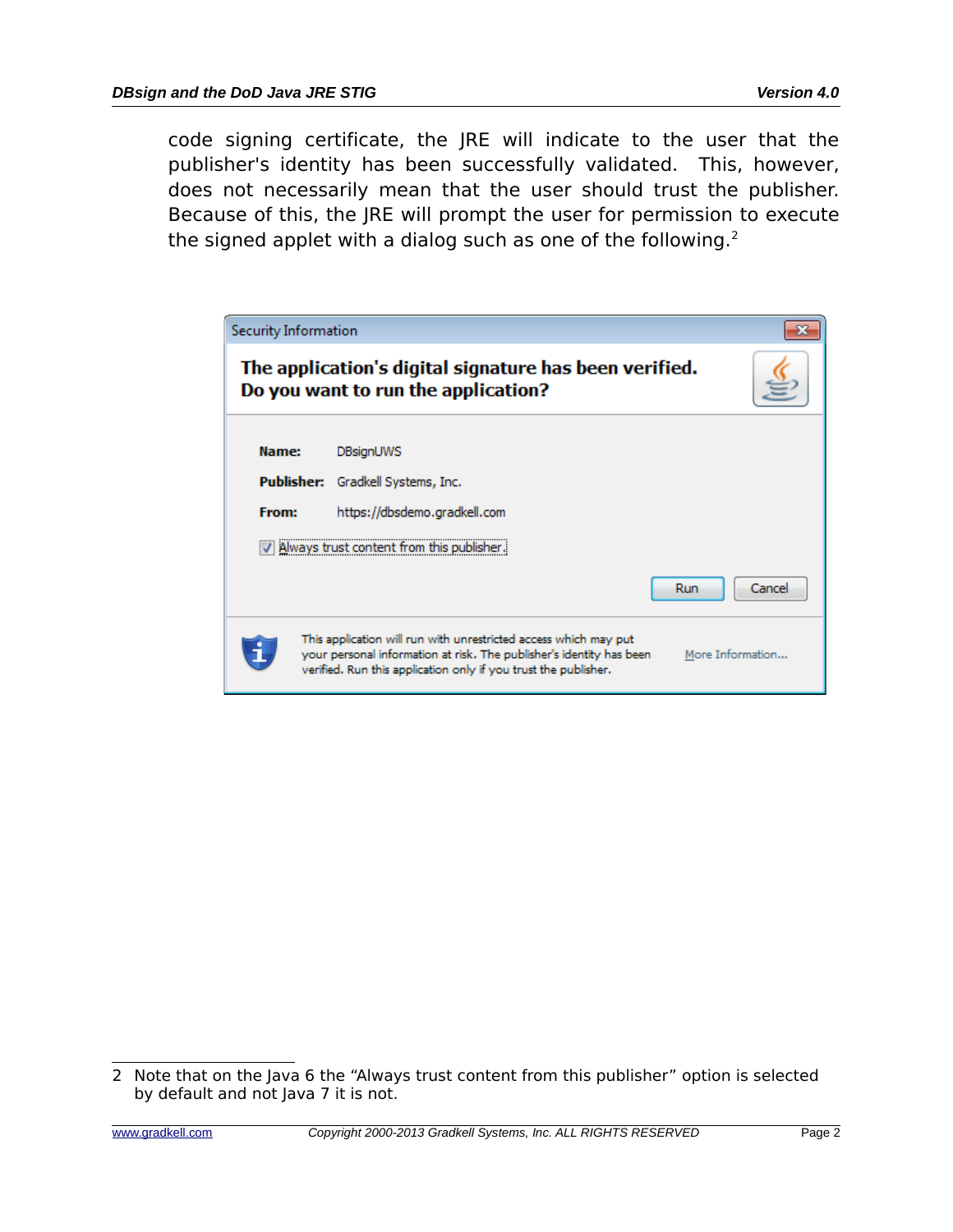code signing certificate, the JRE will indicate to the user that the publisher's identity has been successfully validated. This, however, does not necessarily mean that the user should trust the publisher. Because of this, the JRE will prompt the user for permission to execute the signed applet with a dialog such as one of the following. $2$ 

| Security Information |                                                                                                                                                                                                                                 |
|----------------------|---------------------------------------------------------------------------------------------------------------------------------------------------------------------------------------------------------------------------------|
|                      | The application's digital signature has been verified.<br>Do you want to run the application?                                                                                                                                   |
| Name:<br>Publisher:  | <b>DBsignUWS</b><br>Gradkell Systems, Inc.                                                                                                                                                                                      |
| From:                | https://dbsdemo.gradkell.com<br>Always trust content from this publ                                                                                                                                                             |
|                      | Cancel<br>Run                                                                                                                                                                                                                   |
|                      | This application will run with unrestricted access which may put<br>your personal information at risk. The publisher's identity has been<br>More Information<br>verified. Run this application only if you trust the publisher. |

<span id="page-4-0"></span><sup>2</sup> Note that on the Java 6 the "Always trust content from this publisher" option is selected by default and not Java 7 it is not.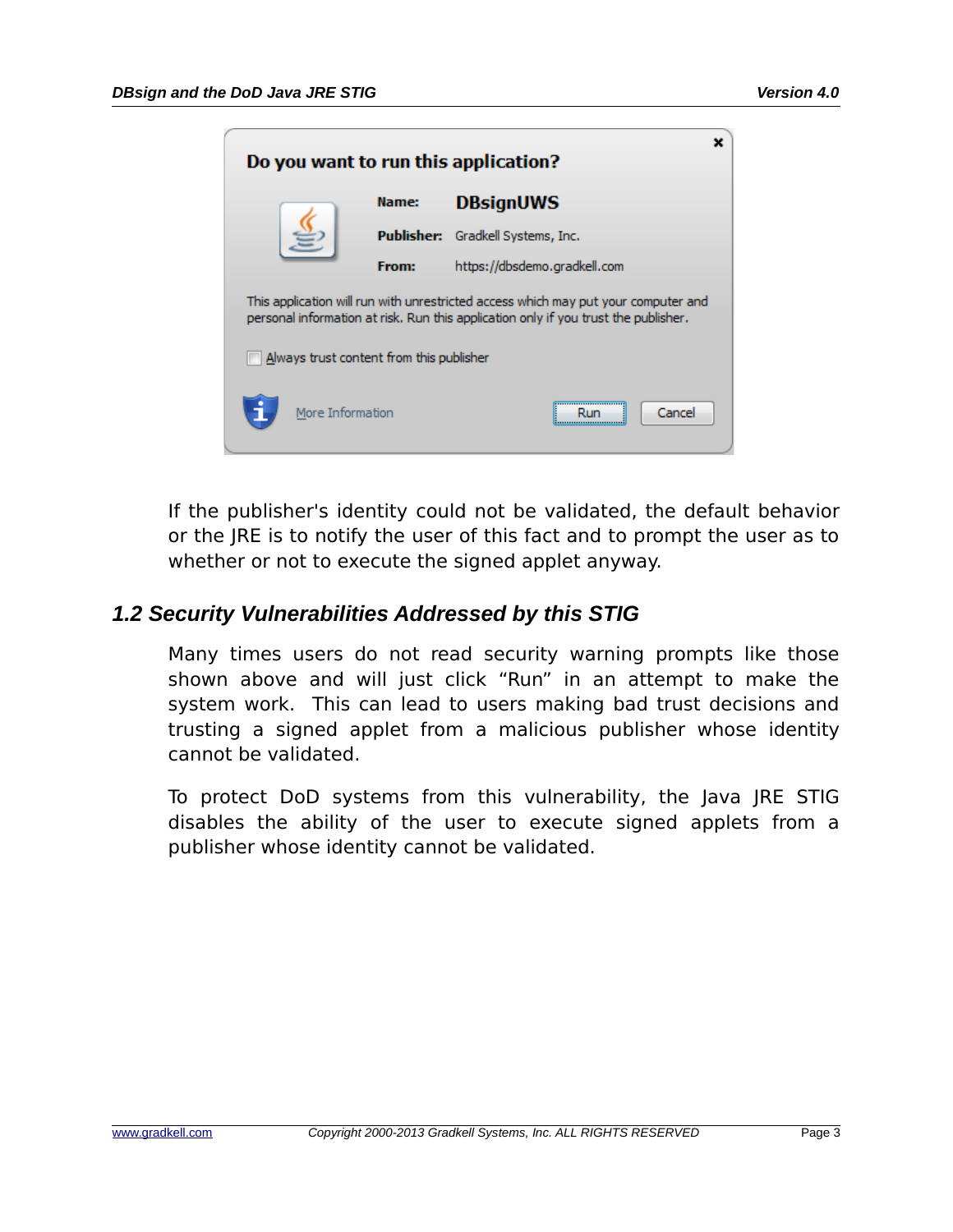| Do you want to run this application?                                                                                                                                      |                  |            |                              |  |  |  |  |
|---------------------------------------------------------------------------------------------------------------------------------------------------------------------------|------------------|------------|------------------------------|--|--|--|--|
|                                                                                                                                                                           |                  | Name:      | <b>DBsignUWS</b>             |  |  |  |  |
|                                                                                                                                                                           |                  | Publisher: | Gradkell Systems, Inc.       |  |  |  |  |
|                                                                                                                                                                           |                  | From:      | https://dbsdemo.gradkell.com |  |  |  |  |
| This application will run with unrestricted access which may put your computer and<br>personal information at risk. Run this application only if you trust the publisher. |                  |            |                              |  |  |  |  |
| Always trust content from this publisher                                                                                                                                  |                  |            |                              |  |  |  |  |
|                                                                                                                                                                           | More Information |            | Cancel                       |  |  |  |  |

If the publisher's identity could not be validated, the default behavior or the JRE is to notify the user of this fact and to prompt the user as to whether or not to execute the signed applet anyway.

#### *1.2 Security Vulnerabilities Addressed by this STIG*

Many times users do not read security warning prompts like those shown above and will just click "Run" in an attempt to make the system work. This can lead to users making bad trust decisions and trusting a signed applet from a malicious publisher whose identity cannot be validated.

To protect DoD systems from this vulnerability, the Java JRE STIG disables the ability of the user to execute signed applets from a publisher whose identity cannot be validated.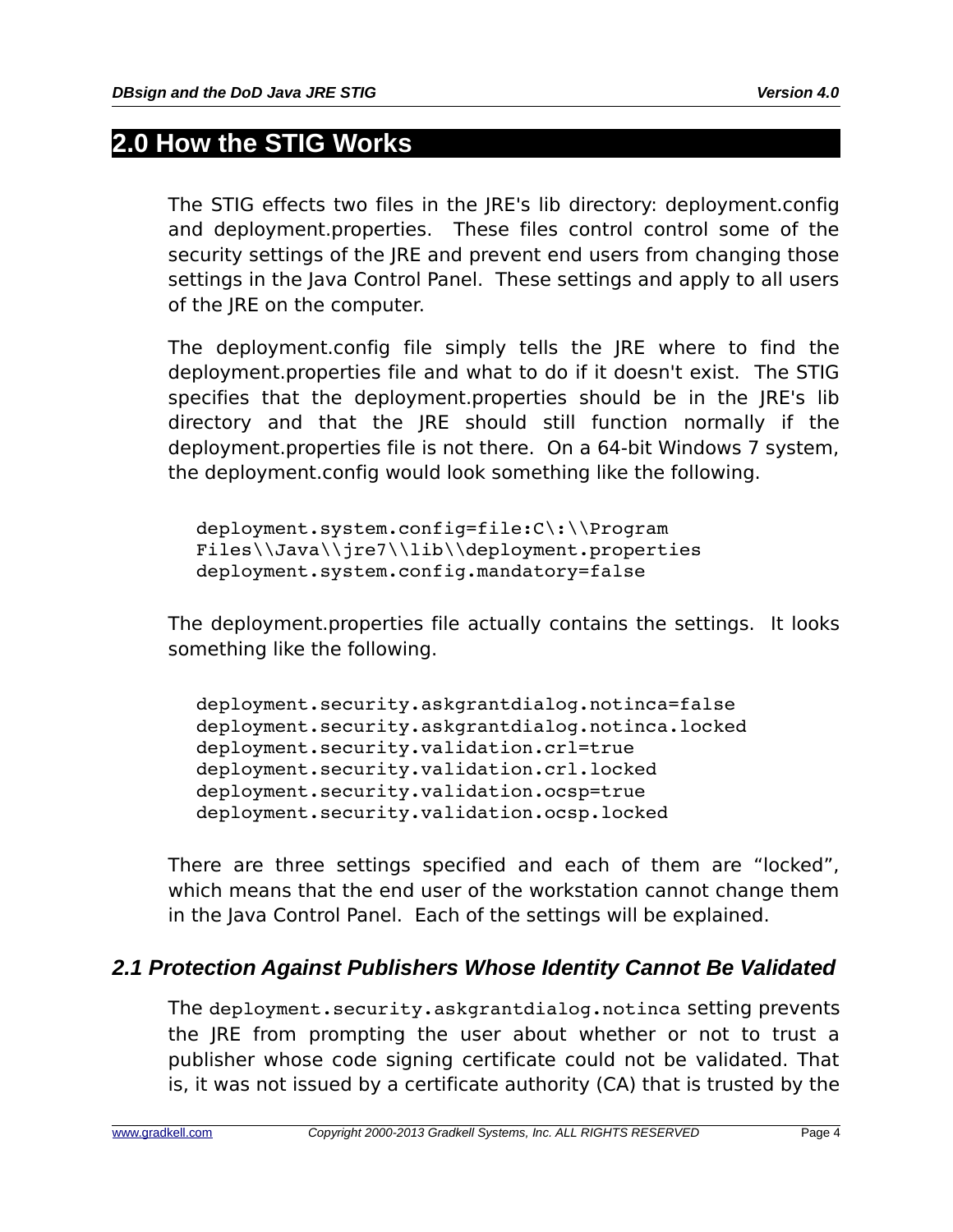## **2.0 How the STIG Works**

The STIG effects two files in the JRE's lib directory: deployment.config and deployment.properties. These files control control some of the security settings of the JRE and prevent end users from changing those settings in the Java Control Panel. These settings and apply to all users of the JRE on the computer.

The deployment.config file simply tells the JRE where to find the deployment.properties file and what to do if it doesn't exist. The STIG specifies that the deployment.properties should be in the JRE's lib directory and that the JRE should still function normally if the deployment.properties file is not there. On a 64-bit Windows 7 system, the deployment.config would look something like the following.

deployment.system.config=file:C\:\\Program Files\\Java\\jre7\\lib\\deployment.properties deployment.system.config.mandatory=false

The deployment.properties file actually contains the settings. It looks something like the following.

deployment.security.askgrantdialog.notinca=false deployment.security.askgrantdialog.notinca.locked deployment.security.validation.crl=true deployment.security.validation.crl.locked deployment.security.validation.ocsp=true deployment.security.validation.ocsp.locked

There are three settings specified and each of them are "locked", which means that the end user of the workstation cannot change them in the Java Control Panel. Each of the settings will be explained.

## *2.1 Protection Against Publishers Whose Identity Cannot Be Validated*

The deployment.security.askgrantdialog.notinca setting prevents the JRE from prompting the user about whether or not to trust a publisher whose code signing certificate could not be validated. That is, it was not issued by a certificate authority (CA) that is trusted by the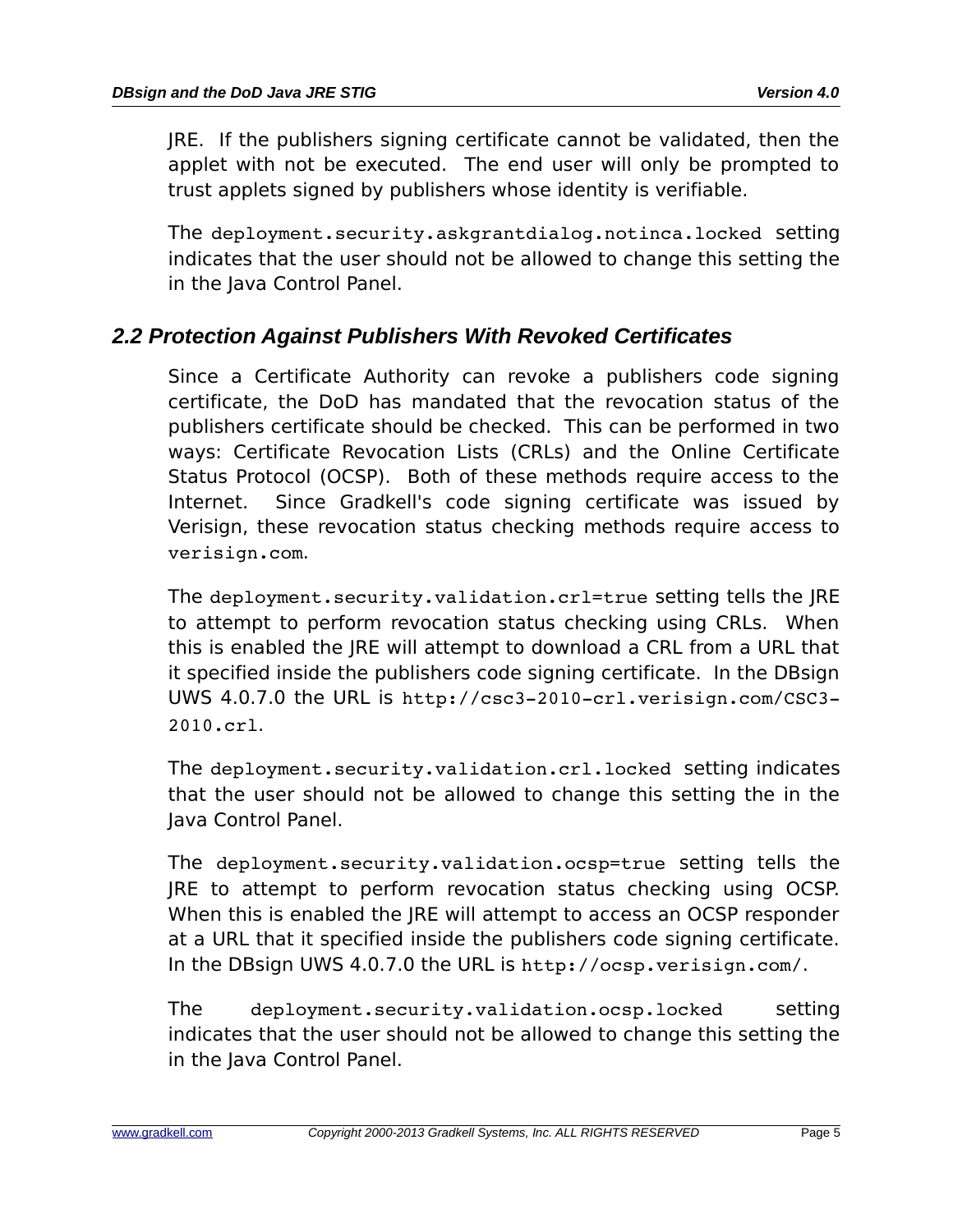JRE. If the publishers signing certificate cannot be validated, then the applet with not be executed. The end user will only be prompted to trust applets signed by publishers whose identity is verifiable.

The deployment.security.askgrantdialog.notinca.locked setting indicates that the user should not be allowed to change this setting the in the Java Control Panel.

### *2.2 Protection Against Publishers With Revoked Certificates*

Since a Certificate Authority can revoke a publishers code signing certificate, the DoD has mandated that the revocation status of the publishers certificate should be checked. This can be performed in two ways: Certificate Revocation Lists (CRLs) and the Online Certificate Status Protocol (OCSP). Both of these methods require access to the Internet. Since Gradkell's code signing certificate was issued by Verisign, these revocation status checking methods require access to verisign.com.

The deployment.security.validation.crl=true setting tells the JRE to attempt to perform revocation status checking using CRLs. When this is enabled the JRE will attempt to download a CRL from a URL that it specified inside the publishers code signing certificate. In the DBsign UWS 4.0.7.0 the URL is http://csc3-2010-crl.verisign.com/CSC3-2010.crl.

The deployment.security.validation.crl.locked setting indicates that the user should not be allowed to change this setting the in the Java Control Panel.

The deployment.security.validation.ocsp=true setting tells the JRE to attempt to perform revocation status checking using OCSP. When this is enabled the JRE will attempt to access an OCSP responder at a URL that it specified inside the publishers code signing certificate. In the DBsign UWS 4.0.7.0 the URL is http://ocsp.verisign.com/.

The deployment.security.validation.ocsp.locked setting indicates that the user should not be allowed to change this setting the in the Java Control Panel.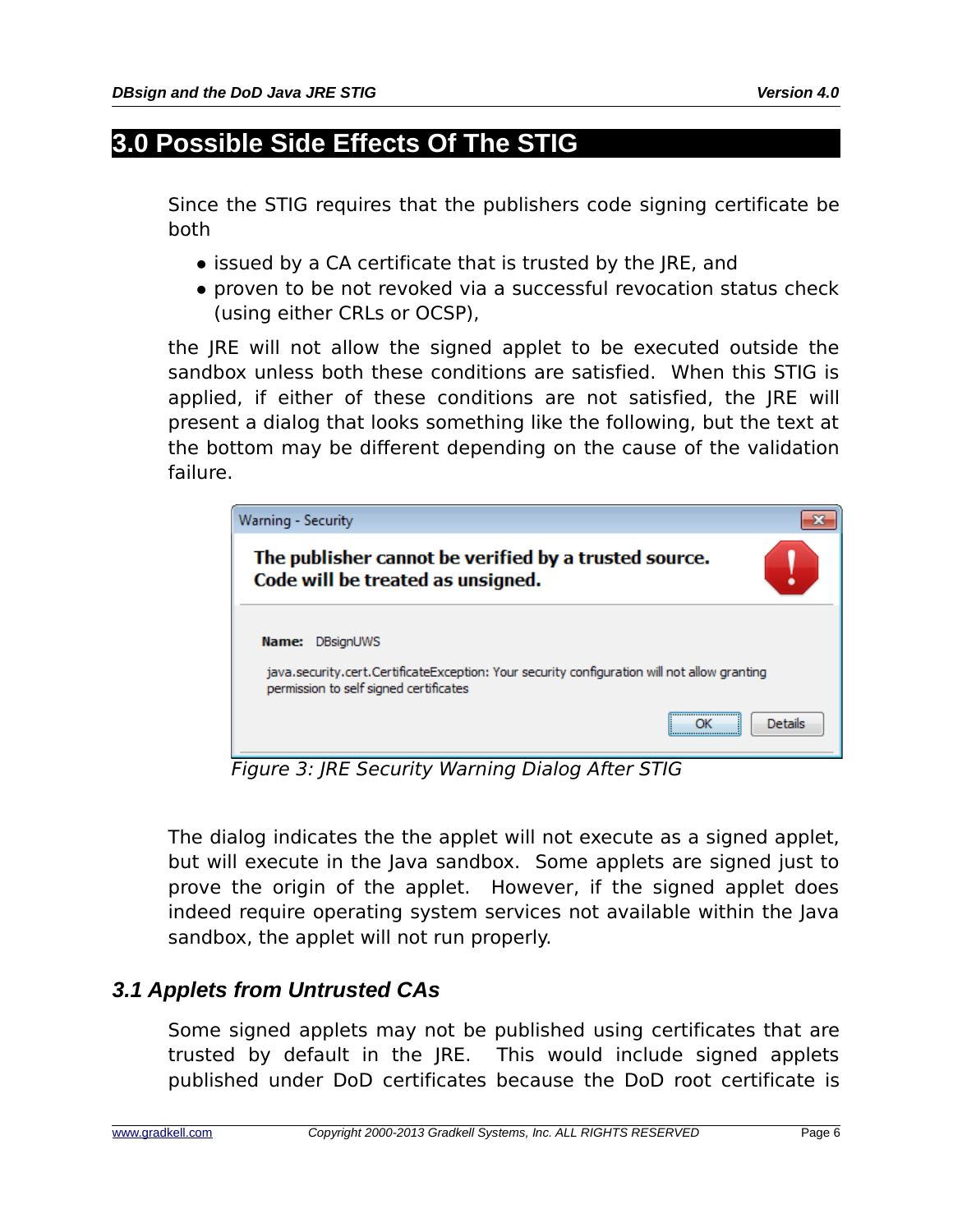# **3.0 Possible Side Effects Of The STIG**

Since the STIG requires that the publishers code signing certificate be both

- issued by a CA certificate that is trusted by the JRE, and
- proven to be not revoked via a successful revocation status check (using either CRLs or OCSP),

the JRE will not allow the signed applet to be executed outside the sandbox unless both these conditions are satisfied. When this STIG is applied, if either of these conditions are not satisfied, the JRE will present a dialog that looks something like the following, but the text at the bottom may be different depending on the cause of the validation failure.

| Warning - Security                                                                                                                                           |         |
|--------------------------------------------------------------------------------------------------------------------------------------------------------------|---------|
| The publisher cannot be verified by a trusted source.<br>Code will be treated as unsigned.                                                                   |         |
| DBsignUWS<br>Name:<br>java.security.cert.CertificateException: Your security configuration will not allow granting<br>permission to self signed certificates |         |
|                                                                                                                                                              | Details |

Figure 3: JRE Security Warning Dialog After STIG

The dialog indicates the the applet will not execute as a signed applet, but will execute in the Java sandbox. Some applets are signed just to prove the origin of the applet. However, if the signed applet does indeed require operating system services not available within the Java sandbox, the applet will not run properly.

## *3.1 Applets from Untrusted CAs*

Some signed applets may not be published using certificates that are trusted by default in the JRE. This would include signed applets published under DoD certificates because the DoD root certificate is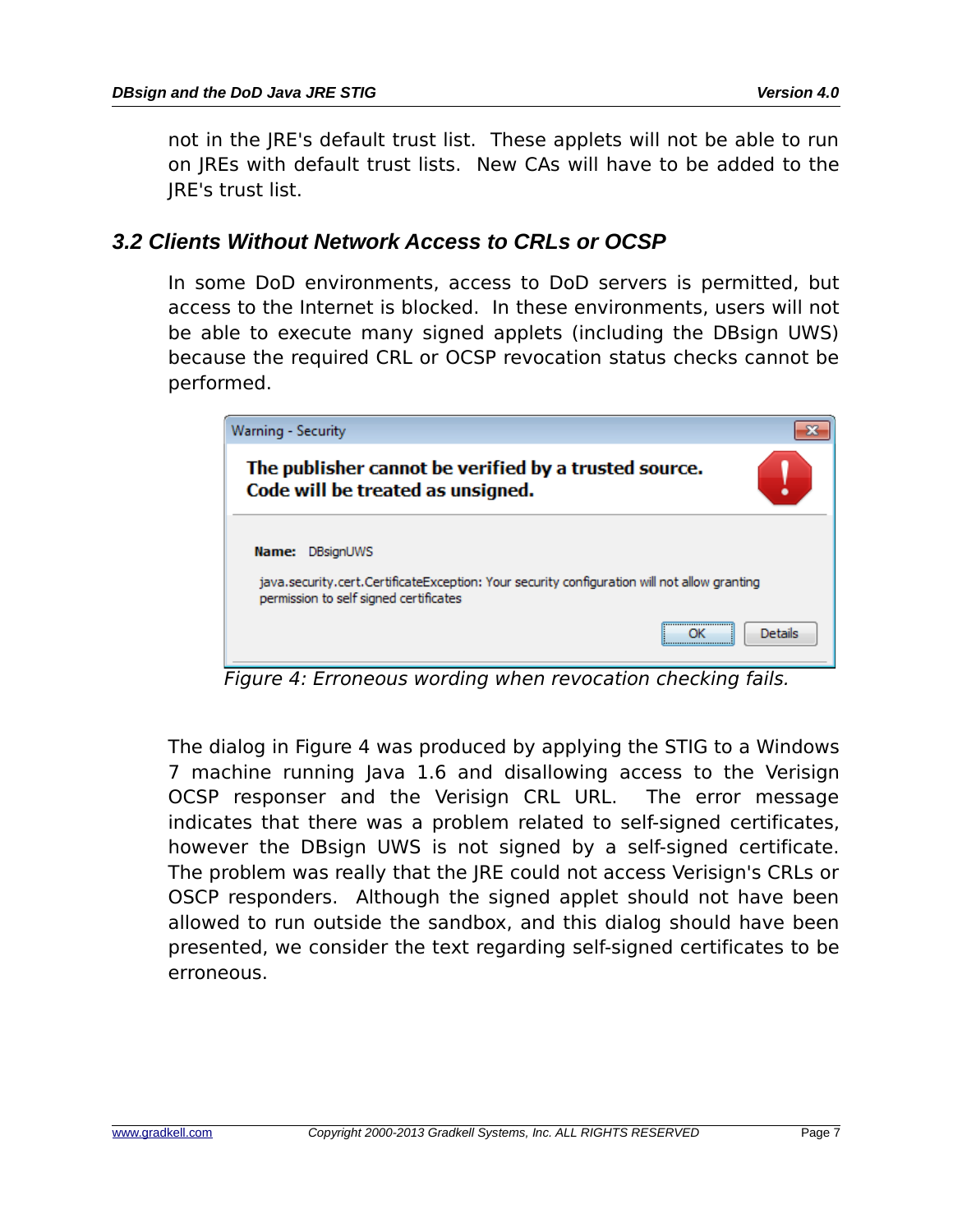not in the JRE's default trust list. These applets will not be able to run on JREs with default trust lists. New CAs will have to be added to the JRE's trust list.

#### *3.2 Clients Without Network Access to CRLs or OCSP*

In some DoD environments, access to DoD servers is permitted, but access to the Internet is blocked. In these environments, users will not be able to execute many signed applets (including the DBsign UWS) because the required CRL or OCSP revocation status checks cannot be performed.

| Warning - Security                                                                                                                                                  |                |
|---------------------------------------------------------------------------------------------------------------------------------------------------------------------|----------------|
| The publisher cannot be verified by a trusted source.<br>Code will be treated as unsigned.                                                                          |                |
| <b>DBsignUWS</b><br>Name:<br>java.security.cert.CertificateException: Your security configuration will not allow granting<br>permission to self signed certificates |                |
|                                                                                                                                                                     | <b>Details</b> |

<span id="page-9-0"></span>Figure 4: Erroneous wording when revocation checking fails.

The dialog in [Figure 4](#page-9-0) was produced by applying the STIG to a Windows 7 machine running Java 1.6 and disallowing access to the Verisign OCSP responser and the Verisign CRL URL. The error message indicates that there was a problem related to self-signed certificates, however the DBsign UWS is not signed by a self-signed certificate. The problem was really that the JRE could not access Verisign's CRLs or OSCP responders. Although the signed applet should not have been allowed to run outside the sandbox, and this dialog should have been presented, we consider the text regarding self-signed certificates to be erroneous.